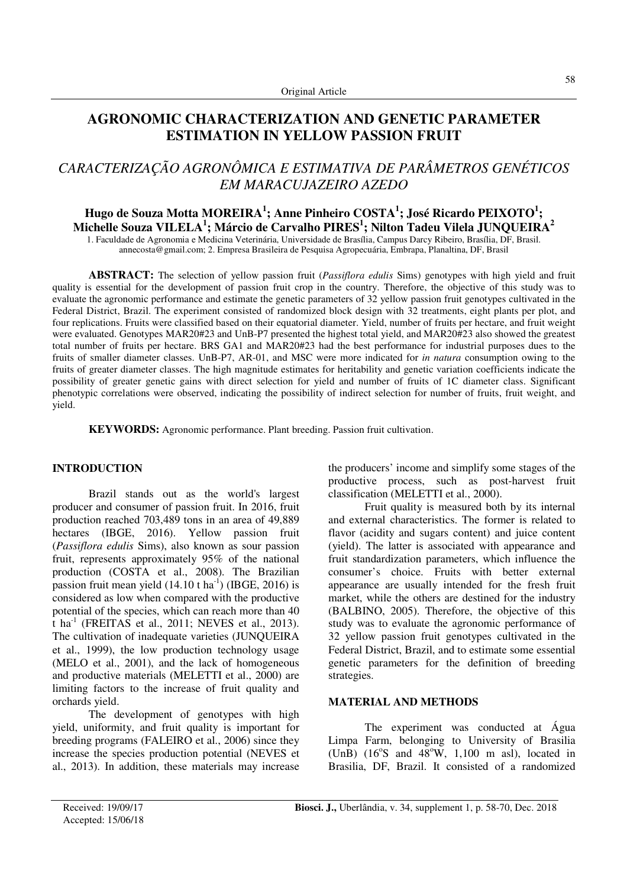## **AGRONOMIC CHARACTERIZATION AND GENETIC PARAMETER ESTIMATION IN YELLOW PASSION FRUIT**

# *CARACTERIZAÇÃO AGRONÔMICA E ESTIMATIVA DE PARÂMETROS GENÉTICOS EM MARACUJAZEIRO AZEDO*

## **Hugo de Souza Motta MOREIRA<sup>1</sup> ; Anne Pinheiro COSTA<sup>1</sup> ; José Ricardo PEIXOTO<sup>1</sup> ; Michelle Souza VILELA<sup>1</sup> ; Márcio de Carvalho PIRES<sup>1</sup> ; Nilton Tadeu Vilela JUNQUEIRA<sup>2</sup>**

1. Faculdade de Agronomia e Medicina Veterinária, Universidade de Brasília, Campus Darcy Ribeiro, Brasília, DF, Brasil. annecosta@gmail.com; 2. Empresa Brasileira de Pesquisa Agropecuária, Embrapa, Planaltina, DF, Brasil

**ABSTRACT:** The selection of yellow passion fruit (*Passiflora edulis* Sims) genotypes with high yield and fruit quality is essential for the development of passion fruit crop in the country. Therefore, the objective of this study was to evaluate the agronomic performance and estimate the genetic parameters of 32 yellow passion fruit genotypes cultivated in the Federal District, Brazil. The experiment consisted of randomized block design with 32 treatments, eight plants per plot, and four replications. Fruits were classified based on their equatorial diameter. Yield, number of fruits per hectare, and fruit weight were evaluated. Genotypes MAR20#23 and UnB-P7 presented the highest total yield, and MAR20#23 also showed the greatest total number of fruits per hectare. BRS GA1 and MAR20#23 had the best performance for industrial purposes dues to the fruits of smaller diameter classes. UnB-P7, AR-01, and MSC were more indicated for *in natura* consumption owing to the fruits of greater diameter classes. The high magnitude estimates for heritability and genetic variation coefficients indicate the possibility of greater genetic gains with direct selection for yield and number of fruits of 1C diameter class. Significant phenotypic correlations were observed, indicating the possibility of indirect selection for number of fruits, fruit weight, and yield.

**KEYWORDS:** Agronomic performance. Plant breeding. Passion fruit cultivation.

#### **INTRODUCTION**

Brazil stands out as the world's largest producer and consumer of passion fruit. In 2016, fruit production reached 703,489 tons in an area of 49,889 hectares (IBGE, 2016). Yellow passion fruit (*Passiflora edulis* Sims), also known as sour passion fruit, represents approximately 95% of the national production (COSTA et al., 2008). The Brazilian passion fruit mean yield  $(14.10 \text{ t} \text{ ha}^{-1})$  (IBGE, 2016) is considered as low when compared with the productive potential of the species, which can reach more than 40 t ha<sup>-1</sup> (FREITAS et al., 2011; NEVES et al., 2013). The cultivation of inadequate varieties (JUNQUEIRA et al., 1999), the low production technology usage (MELO et al., 2001), and the lack of homogeneous and productive materials (MELETTI et al., 2000) are limiting factors to the increase of fruit quality and orchards yield.

The development of genotypes with high yield, uniformity, and fruit quality is important for breeding programs (FALEIRO et al., 2006) since they increase the species production potential (NEVES et al., 2013). In addition, these materials may increase

the producers' income and simplify some stages of the productive process, such as post-harvest fruit classification (MELETTI et al., 2000).

Fruit quality is measured both by its internal and external characteristics. The former is related to flavor (acidity and sugars content) and juice content (yield). The latter is associated with appearance and fruit standardization parameters, which influence the consumer's choice. Fruits with better external appearance are usually intended for the fresh fruit market, while the others are destined for the industry (BALBINO, 2005). Therefore, the objective of this study was to evaluate the agronomic performance of 32 yellow passion fruit genotypes cultivated in the Federal District, Brazil, and to estimate some essential genetic parameters for the definition of breeding strategies.

### **MATERIAL AND METHODS**

The experiment was conducted at Água Limpa Farm, belonging to University of Brasilia (UnB)  $(16^{\circ}S$  and  $48^{\circ}W$ , 1,100 m asl), located in Brasilia, DF, Brazil. It consisted of a randomized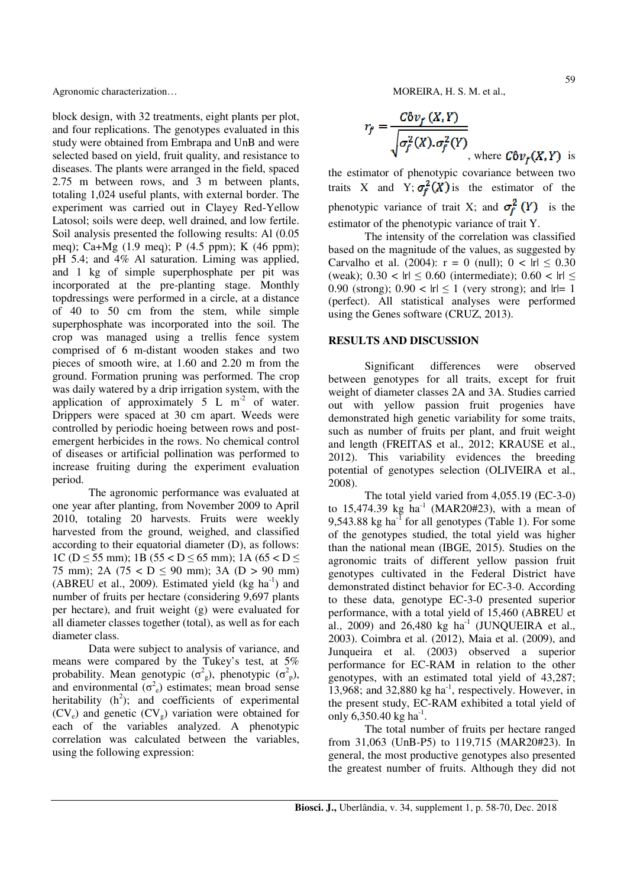Agronomic characterization…  $\blacksquare$  MOREIRA, H. S. M. et al.,

block design, with 32 treatments, eight plants per plot, and four replications. The genotypes evaluated in this study were obtained from Embrapa and UnB and were selected based on yield, fruit quality, and resistance to diseases. The plants were arranged in the field, spaced 2.75 m between rows, and 3 m between plants, totaling 1,024 useful plants, with external border. The experiment was carried out in Clayey Red-Yellow Latosol; soils were deep, well drained, and low fertile. Soil analysis presented the following results: Al (0.05 meq); Ca+Mg (1.9 meq); P (4.5 ppm); K (46 ppm); pH 5.4; and 4% Al saturation. Liming was applied, and 1 kg of simple superphosphate per pit was incorporated at the pre-planting stage. Monthly topdressings were performed in a circle, at a distance of 40 to 50 cm from the stem, while simple superphosphate was incorporated into the soil. The crop was managed using a trellis fence system comprised of 6 m-distant wooden stakes and two pieces of smooth wire, at 1.60 and 2.20 m from the ground. Formation pruning was performed. The crop was daily watered by a drip irrigation system, with the application of approximately  $5 \text{ L m}^2$  of water. Drippers were spaced at 30 cm apart. Weeds were controlled by periodic hoeing between rows and postemergent herbicides in the rows. No chemical control of diseases or artificial pollination was performed to increase fruiting during the experiment evaluation period.

The agronomic performance was evaluated at one year after planting, from November 2009 to April 2010, totaling 20 harvests. Fruits were weekly harvested from the ground, weighed, and classified according to their equatorial diameter (D), as follows: 1C ( $D \le 55$  mm); 1B ( $55 < D \le 65$  mm); 1A ( $65 < D \le$ 75 mm); 2A (75 <  $D \le 90$  mm); 3A ( $D > 90$  mm) (ABREU et al., 2009). Estimated yield  $(kg \text{ ha}^{-1})$  and number of fruits per hectare (considering 9,697 plants per hectare), and fruit weight (g) were evaluated for all diameter classes together (total), as well as for each diameter class.

Data were subject to analysis of variance, and means were compared by the Tukey's test, at 5% probability. Mean genotypic  $(\sigma_g^2)$ , phenotypic  $(\sigma_p^2)$ , and environmental  $(\sigma_e^2)$  estimates; mean broad sense heritability  $(h^2)$ ; and coefficients of experimental  $(CV_e)$  and genetic  $(CV_g)$  variation were obtained for each of the variables analyzed. A phenotypic correlation was calculated between the variables, using the following expression:

$$
r_f = \frac{C \hat{\sigma} v_f(X, Y)}{\sqrt{\sigma_f^2(X) . \sigma_f^2(Y)}}
$$
, where  $C \hat{\sigma} v_f(X, Y)$  is

the estimator of phenotypic covariance between two traits X and Y;  $\sigma_f^2(X)$  is the estimator of the phenotypic variance of trait X; and  $\sigma_f^2(Y)$  is the estimator of the phenotypic variance of trait Y.

The intensity of the correlation was classified based on the magnitude of the values, as suggested by Carvalho et al. (2004):  $r = 0$  (null);  $0 < |r| \le 0.30$ (weak);  $0.30 < |r| \le 0.60$  (intermediate);  $0.60 < |r| \le$ 0.90 (strong);  $0.90 < |r| \le 1$  (very strong); and  $|r|=1$ (perfect). All statistical analyses were performed using the Genes software (CRUZ, 2013).

#### **RESULTS AND DISCUSSION**

Significant differences were observed between genotypes for all traits, except for fruit weight of diameter classes 2A and 3A. Studies carried out with yellow passion fruit progenies have demonstrated high genetic variability for some traits, such as number of fruits per plant, and fruit weight and length (FREITAS et al., 2012; KRAUSE et al., 2012). This variability evidences the breeding potential of genotypes selection (OLIVEIRA et al., 2008).

The total yield varied from 4,055.19 (EC-3-0) to 15,474.39 kg  $ha^{-1}$  (MAR20#23), with a mean of 9,543.88 kg ha<sup>-1</sup> for all genotypes (Table 1). For some of the genotypes studied, the total yield was higher than the national mean (IBGE, 2015). Studies on the agronomic traits of different yellow passion fruit genotypes cultivated in the Federal District have demonstrated distinct behavior for EC-3-0. According to these data, genotype EC-3-0 presented superior performance, with a total yield of 15,460 (ABREU et al., 2009) and 26,480 kg  $ha^{-1}$  (JUNQUEIRA et al., 2003). Coimbra et al. (2012), Maia et al. (2009), and Junqueira et al. (2003) observed a superior performance for EC-RAM in relation to the other genotypes, with an estimated total yield of 43,287; 13,968; and 32,880 kg ha<sup>-1</sup>, respectively. However, in the present study, EC-RAM exhibited a total yield of only 6,350.40 kg ha<sup>-1</sup>.

The total number of fruits per hectare ranged from 31,063 (UnB-P5) to 119,715 (MAR20#23). In general, the most productive genotypes also presented the greatest number of fruits. Although they did not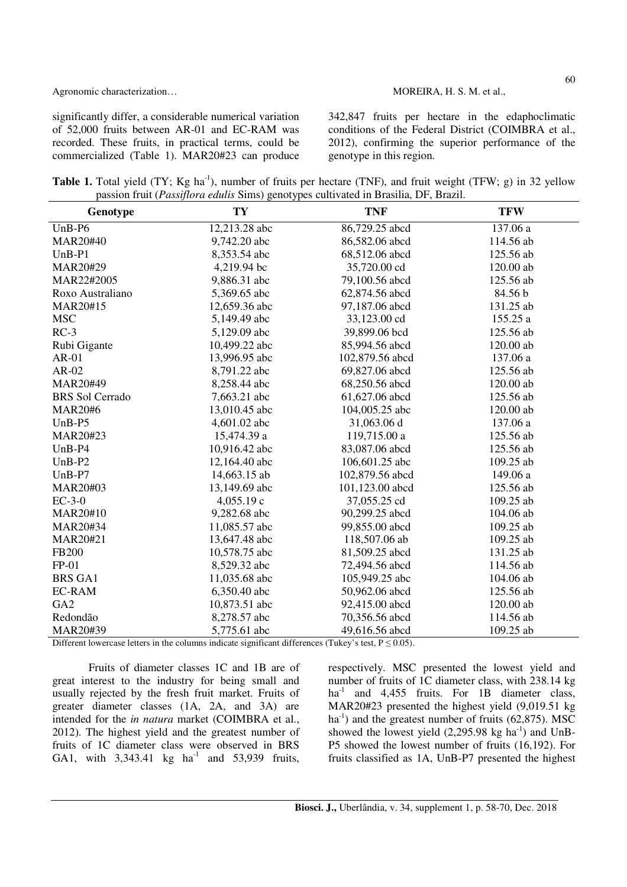Agronomic characterization…  $\blacksquare$  MOREIRA, H. S. M. et al.,

significantly differ, a considerable numerical variation of 52,000 fruits between AR-01 and EC-RAM was recorded. These fruits, in practical terms, could be commercialized (Table 1). MAR20#23 can produce 342,847 fruits per hectare in the edaphoclimatic conditions of the Federal District (COIMBRA et al., 2012), confirming the superior performance of the genotype in this region.

**Table 1.** Total yield (TY; Kg ha<sup>-1</sup>), number of fruits per hectare (TNF), and fruit weight (TFW; g) in 32 yellow passion fruit (*Passiflora edulis* Sims) genotypes cultivated in Brasilia, DF, Brazil.

| Genotype               | TY            | <b>TNF</b>      | <b>TFW</b> |
|------------------------|---------------|-----------------|------------|
| $UnB-P6$               | 12,213.28 abc | 86,729.25 abcd  | 137.06 a   |
| MAR20#40               | 9,742.20 abc  | 86,582.06 abcd  | 114.56 ab  |
| $UnB-P1$               | 8,353.54 abc  | 68,512.06 abcd  | 125.56 ab  |
| MAR20#29               | 4,219.94 bc   | 35,720.00 cd    | 120.00 ab  |
| MAR22#2005             | 9,886.31 abc  | 79,100.56 abcd  | 125.56 ab  |
| Roxo Australiano       | 5,369.65 abc  | 62,874.56 abcd  | 84.56 b    |
| MAR20#15               | 12,659.36 abc | 97,187.06 abcd  | 131.25 ab  |
| <b>MSC</b>             | 5,149.49 abc  | 33,123.00 cd    | 155.25 a   |
| $RC-3$                 | 5,129.09 abc  | 39,899.06 bcd   | 125.56 ab  |
| Rubi Gigante           | 10,499.22 abc | 85,994.56 abcd  | 120.00 ab  |
| $AR-01$                | 13,996.95 abc | 102,879.56 abcd | 137.06 a   |
| $AR-02$                | 8,791.22 abc  | 69,827.06 abcd  | 125.56 ab  |
| MAR20#49               | 8,258.44 abc  | 68,250.56 abcd  | 120.00 ab  |
| <b>BRS</b> Sol Cerrado | 7,663.21 abc  | 61,627.06 abcd  | 125.56 ab  |
| <b>MAR20#6</b>         | 13,010.45 abc | 104,005.25 abc  | 120.00 ab  |
| $UnB- P5$              | 4,601.02 abc  | 31,063.06 d     | 137.06 a   |
| MAR20#23               | 15,474.39 a   | 119,715.00 a    | 125.56 ab  |
| $UnB-P4$               | 10,916.42 abc | 83,087.06 abcd  | 125.56 ab  |
| $UnB-P2$               | 12,164.40 abc | 106,601.25 abc  | 109.25 ab  |
| $UnB-P7$               | 14,663.15 ab  | 102,879.56 abcd | 149.06 a   |
| MAR20#03               | 13,149.69 abc | 101,123.00 abcd | 125.56 ab  |
| $EC-3-0$               | 4,055.19 c    | 37,055.25 cd    | 109.25 ab  |
| MAR20#10               | 9,282.68 abc  | 90,299.25 abcd  | 104.06 ab  |
| MAR20#34               | 11,085.57 abc | 99,855.00 abcd  | 109.25 ab  |
| MAR20#21               | 13,647.48 abc | 118,507.06 ab   | 109.25 ab  |
| FB200                  | 10,578.75 abc | 81,509.25 abcd  | 131.25 ab  |
| $FP-01$                | 8,529.32 abc  | 72,494.56 abcd  | 114.56 ab  |
| <b>BRS GA1</b>         | 11,035.68 abc | 105,949.25 abc  | 104.06 ab  |
| <b>EC-RAM</b>          | 6,350.40 abc  | 50,962.06 abcd  | 125.56 ab  |
| GA <sub>2</sub>        | 10,873.51 abc | 92,415.00 abcd  | 120.00 ab  |
| Redondão               | 8,278.57 abc  | 70,356.56 abcd  | 114.56 ab  |
| MAR20#39               | 5,775.61 abc  | 49,616.56 abcd  | 109.25 ab  |

Different lowercase letters in the columns indicate significant differences (Tukey's test,  $P \le 0.05$ ).

Fruits of diameter classes 1C and 1B are of great interest to the industry for being small and usually rejected by the fresh fruit market. Fruits of greater diameter classes (1A, 2A, and 3A) are intended for the *in natura* market (COIMBRA et al., 2012). The highest yield and the greatest number of fruits of 1C diameter class were observed in BRS GA1, with  $3,343.41$  kg ha<sup>-1</sup> and  $53,939$  fruits, respectively. MSC presented the lowest yield and number of fruits of 1C diameter class, with 238.14 kg ha<sup>-1</sup> and 4,455 fruits. For 1B diameter class, MAR20#23 presented the highest yield (9,019.51 kg  $ha^{-1}$ ) and the greatest number of fruits (62,875). MSC showed the lowest yield  $(2,295.98 \text{ kg ha}^{-1})$  and UnB-P5 showed the lowest number of fruits (16,192). For fruits classified as 1A, UnB-P7 presented the highest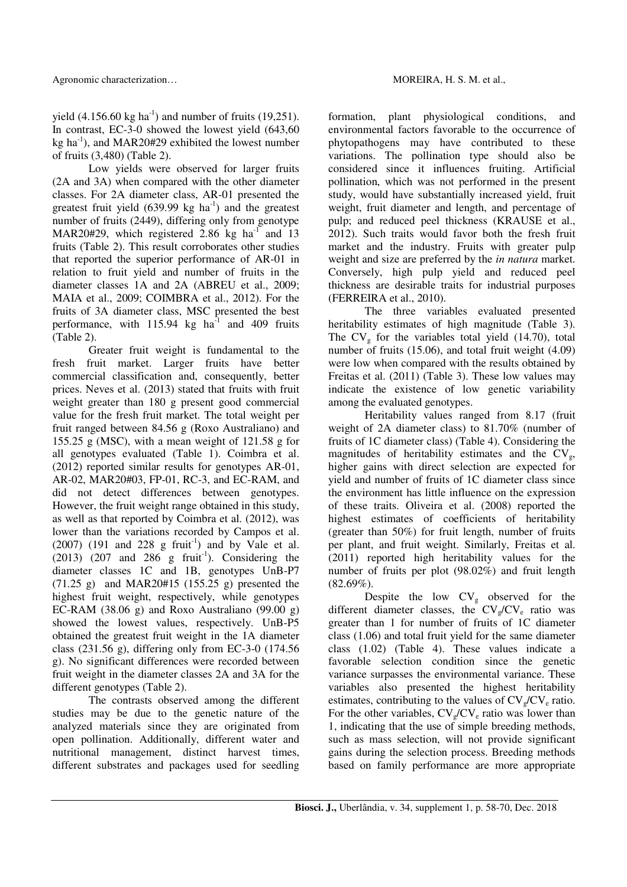of fruits (3,480) (Table 2). Low yields were observed for larger fruits (2A and 3A) when compared with the other diameter classes. For 2A diameter class, AR-01 presented the greatest fruit yield  $(639.99 \text{ kg } \text{ha}^{-1})$  and the greatest number of fruits (2449), differing only from genotype MAR20#29, which registered 2.86 kg ha<sup>-1</sup> and 13 fruits (Table 2). This result corroborates other studies that reported the superior performance of AR-01 in relation to fruit yield and number of fruits in the diameter classes 1A and 2A (ABREU et al., 2009; MAIA et al., 2009; COIMBRA et al., 2012). For the fruits of 3A diameter class, MSC presented the best performance, with  $115.94$  kg ha<sup>-1</sup> and 409 fruits (Table 2).

Greater fruit weight is fundamental to the fresh fruit market. Larger fruits have better commercial classification and, consequently, better prices. Neves et al. (2013) stated that fruits with fruit weight greater than 180 g present good commercial value for the fresh fruit market. The total weight per fruit ranged between 84.56 g (Roxo Australiano) and 155.25 g (MSC), with a mean weight of 121.58 g for all genotypes evaluated (Table 1). Coimbra et al. (2012) reported similar results for genotypes AR-01, AR-02, MAR20#03, FP-01, RC-3, and EC-RAM, and did not detect differences between genotypes. However, the fruit weight range obtained in this study, as well as that reported by Coimbra et al. (2012), was lower than the variations recorded by Campos et al.  $(2007)$   $(191$  and  $228$  g fruit<sup>-1</sup>) and by Vale et al.  $(2013)$   $(207 \text{ and } 286 \text{ g fruit}^{-1})$ . Considering the diameter classes 1C and 1B, genotypes UnB-P7 (71.25 g) and MAR20#15 (155.25 g) presented the highest fruit weight, respectively, while genotypes EC-RAM (38.06 g) and Roxo Australiano (99.00 g) showed the lowest values, respectively. UnB-P5 obtained the greatest fruit weight in the 1A diameter class (231.56 g), differing only from EC-3-0 (174.56 g). No significant differences were recorded between fruit weight in the diameter classes 2A and 3A for the different genotypes (Table 2).

The contrasts observed among the different studies may be due to the genetic nature of the analyzed materials since they are originated from open pollination. Additionally, different water and nutritional management, distinct harvest times, different substrates and packages used for seedling

formation, plant physiological conditions, and environmental factors favorable to the occurrence of phytopathogens may have contributed to these variations. The pollination type should also be considered since it influences fruiting. Artificial pollination, which was not performed in the present study, would have substantially increased yield, fruit weight, fruit diameter and length, and percentage of pulp; and reduced peel thickness (KRAUSE et al., 2012). Such traits would favor both the fresh fruit market and the industry. Fruits with greater pulp weight and size are preferred by the *in natura* market. Conversely, high pulp yield and reduced peel thickness are desirable traits for industrial purposes (FERREIRA et al., 2010).

The three variables evaluated presented heritability estimates of high magnitude (Table 3). The  $CV_g$  for the variables total yield (14.70), total number of fruits (15.06), and total fruit weight (4.09) were low when compared with the results obtained by Freitas et al. (2011) (Table 3). These low values may indicate the existence of low genetic variability among the evaluated genotypes.

Heritability values ranged from 8.17 (fruit weight of 2A diameter class) to 81.70% (number of fruits of 1C diameter class) (Table 4). Considering the magnitudes of heritability estimates and the  $CV_g$ , higher gains with direct selection are expected for yield and number of fruits of 1C diameter class since the environment has little influence on the expression of these traits. Oliveira et al. (2008) reported the highest estimates of coefficients of heritability (greater than 50%) for fruit length, number of fruits per plant, and fruit weight. Similarly, Freitas et al. (2011) reported high heritability values for the number of fruits per plot (98.02%) and fruit length  $(82.69\%).$ 

Despite the low  $CV_g$  observed for the different diameter classes, the  $CV_g/CV_e$  ratio was greater than 1 for number of fruits of 1C diameter class (1.06) and total fruit yield for the same diameter class (1.02) (Table 4). These values indicate a favorable selection condition since the genetic variance surpasses the environmental variance. These variables also presented the highest heritability estimates, contributing to the values of  $CV_{\alpha}/CV_{\alpha}$  ratio. For the other variables,  $CV_{\varphi}/CV_{\varphi}$  ratio was lower than 1, indicating that the use of simple breeding methods, such as mass selection, will not provide significant gains during the selection process. Breeding methods based on family performance are more appropriate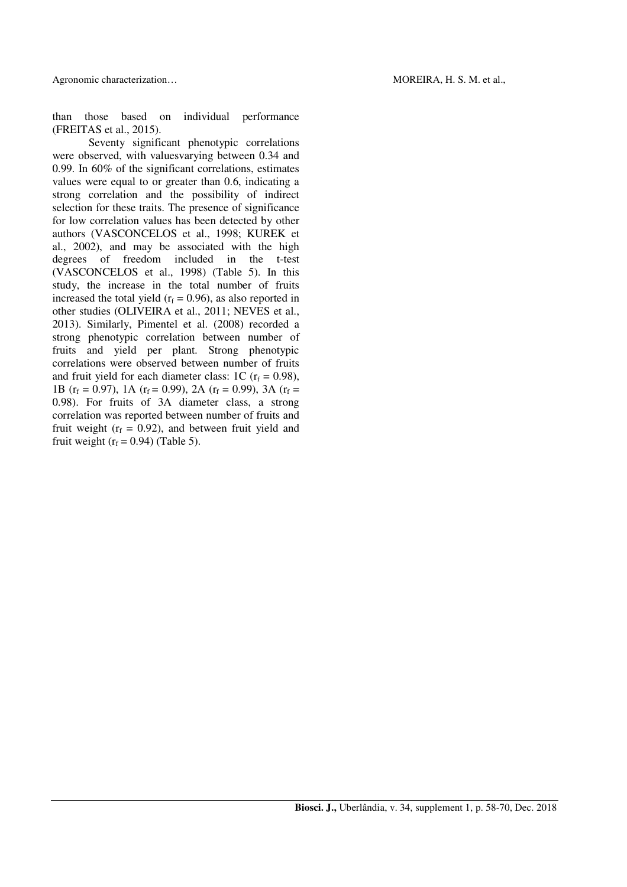Agronomic characterization…  $\blacksquare$  MOREIRA, H. S. M. et al.,

than those based on individual performance (FREITAS et al., 2015).

Seventy significant phenotypic correlations were observed, with valuesvarying between 0.34 and 0.99. In 60% of the significant correlations, estimates values were equal to or greater than 0.6, indicating a strong correlation and the possibility of indirect selection for these traits. The presence of significance for low correlation values has been detected by other authors (VASCONCELOS et al., 1998; KUREK et al., 2002), and may be associated with the high degrees of freedom included in the t-test (VASCONCELOS et al., 1998) (Table 5). In this study, the increase in the total number of fruits increased the total yield  $(r_f = 0.96)$ , as also reported in other studies (OLIVEIRA et al., 2011; NEVES et al., 2013). Similarly, Pimentel et al. (2008) recorded a strong phenotypic correlation between number of fruits and yield per plant. Strong phenotypic correlations were observed between number of fruits and fruit yield for each diameter class: 1C  $(r_f = 0.98)$ , 1B ( $r_f = 0.97$ ), 1A ( $r_f = 0.99$ ), 2A ( $r_f = 0.99$ ), 3A ( $r_f =$ 0.98). For fruits of 3A diameter class, a strong correlation was reported between number of fruits and fruit weight ( $r_f = 0.92$ ), and between fruit yield and fruit weight  $(r_f = 0.94)$  (Table 5).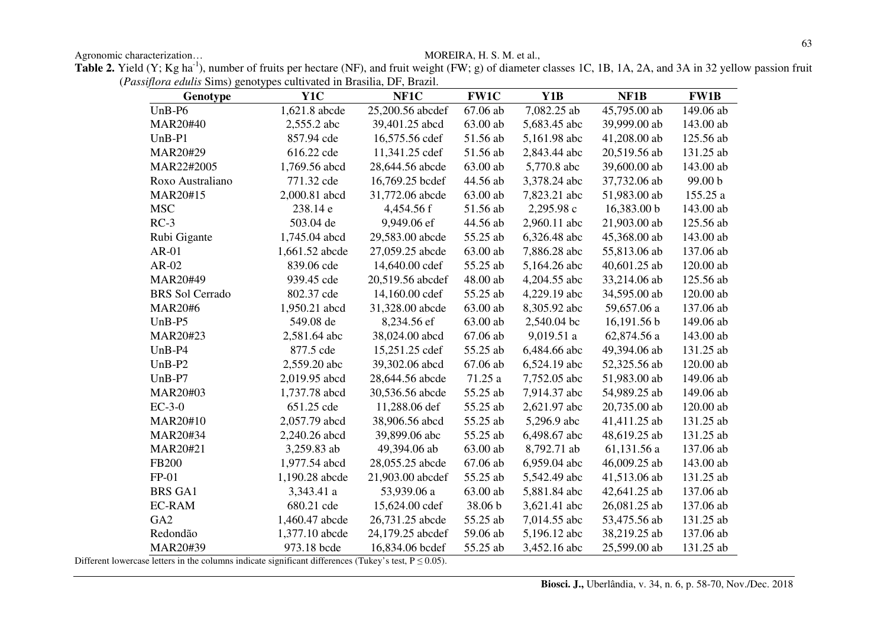Agronomic characterization... MOREIRA, H. S. M. et al.,

Table 2. Yield (Y; Kg ha<sup>-1</sup>), number of fruits per hectare (NF), and fruit weight (FW; g) of diameter classes 1C, 1B, 1A, 2A, and 3A in 32 yellow passion fruit (*Passiflora edulis* Sims) genotypes cultivated in Brasilia, DF, Brazil.

| Genotype               | Y <sub>1</sub> C | NF1C             | <b>FW1C</b> | Y1B          | NF1B         | <b>FW1B</b> |
|------------------------|------------------|------------------|-------------|--------------|--------------|-------------|
| $UnB-P6$               | 1,621.8 abcde    | 25,200.56 abcdef | 67.06 ab    | 7,082.25 ab  | 45,795.00 ab | 149.06 ab   |
| MAR20#40               | 2,555.2 abc      | 39,401.25 abcd   | 63.00 ab    | 5,683.45 abc | 39,999.00 ab | 143.00 ab   |
| $UnB-P1$               | 857.94 cde       | 16,575.56 cdef   | 51.56 ab    | 5,161.98 abc | 41,208.00 ab | 125.56 ab   |
| MAR20#29               | 616.22 cde       | 11,341.25 cdef   | 51.56 ab    | 2,843.44 abc | 20,519.56 ab | 131.25 ab   |
| MAR22#2005             | 1,769.56 abcd    | 28,644.56 abcde  | 63.00 ab    | 5,770.8 abc  | 39,600.00 ab | 143.00 ab   |
| Roxo Australiano       | 771.32 cde       | 16,769.25 bcdef  | 44.56 ab    | 3,378.24 abc | 37,732.06 ab | 99.00 b     |
| MAR20#15               | 2,000.81 abcd    | 31,772.06 abcde  | 63.00 ab    | 7,823.21 abc | 51,983.00 ab | 155.25 a    |
| <b>MSC</b>             | 238.14 e         | 4,454.56 f       | 51.56 ab    | 2,295.98 c   | 16,383.00 b  | 143.00 ab   |
| $RC-3$                 | 503.04 de        | 9,949.06 ef      | 44.56 ab    | 2,960.11 abc | 21,903.00 ab | 125.56 ab   |
| Rubi Gigante           | 1,745.04 abcd    | 29,583.00 abcde  | 55.25 ab    | 6,326.48 abc | 45,368.00 ab | 143.00 ab   |
| $AR-01$                | 1,661.52 abcde   | 27,059.25 abcde  | 63.00 ab    | 7,886.28 abc | 55,813.06 ab | 137.06 ab   |
| $AR-02$                | 839.06 cde       | 14,640.00 cdef   | 55.25 ab    | 5,164.26 abc | 40,601.25 ab | 120.00 ab   |
| MAR20#49               | 939.45 cde       | 20,519.56 abcdef | 48.00 ab    | 4,204.55 abc | 33,214.06 ab | 125.56 ab   |
| <b>BRS</b> Sol Cerrado | 802.37 cde       | 14,160.00 cdef   | 55.25 ab    | 4,229.19 abc | 34,595.00 ab | 120.00 ab   |
| <b>MAR20#6</b>         | 1,950.21 abcd    | 31,328.00 abcde  | 63.00 ab    | 8,305.92 abc | 59,657.06 a  | 137.06 ab   |
| $UnB- P5$              | 549.08 de        | 8,234.56 ef      | 63.00 ab    | 2,540.04 bc  | 16,191.56 b  | 149.06 ab   |
| MAR20#23               | 2,581.64 abc     | 38,024.00 abcd   | 67.06 ab    | 9,019.51 a   | 62,874.56 a  | 143.00 ab   |
| $UnB-P4$               | 877.5 cde        | 15,251.25 cdef   | 55.25 ab    | 6,484.66 abc | 49,394.06 ab | 131.25 ab   |
| $UnB-P2$               | 2,559.20 abc     | 39,302.06 abcd   | 67.06 ab    | 6,524.19 abc | 52,325.56 ab | 120.00 ab   |
| $UnB- P7$              | 2,019.95 abcd    | 28,644.56 abcde  | 71.25 a     | 7,752.05 abc | 51,983.00 ab | 149.06 ab   |
| MAR20#03               | 1,737.78 abcd    | 30,536.56 abcde  | 55.25 ab    | 7,914.37 abc | 54,989.25 ab | 149.06 ab   |
| $EC-3-0$               | 651.25 cde       | 11,288.06 def    | 55.25 ab    | 2,621.97 abc | 20,735.00 ab | 120.00 ab   |
| MAR20#10               | 2,057.79 abcd    | 38,906.56 abcd   | 55.25 ab    | 5,296.9 abc  | 41,411.25 ab | 131.25 ab   |
| MAR20#34               | 2,240.26 abcd    | 39,899.06 abc    | 55.25 ab    | 6,498.67 abc | 48,619.25 ab | 131.25 ab   |
| MAR20#21               | 3,259.83 ab      | 49,394.06 ab     | 63.00 ab    | 8,792.71 ab  | 61,131.56 a  | 137.06 ab   |
| FB200                  | 1,977.54 abcd    | 28,055.25 abcde  | 67.06 ab    | 6,959.04 abc | 46,009.25 ab | 143.00 ab   |
| $FP-01$                | 1,190.28 abcde   | 21,903.00 abcdef | 55.25 ab    | 5,542.49 abc | 41,513.06 ab | 131.25 ab   |
| <b>BRS GA1</b>         | 3,343.41 a       | 53,939.06 a      | 63.00 ab    | 5,881.84 abc | 42,641.25 ab | 137.06 ab   |
| <b>EC-RAM</b>          | 680.21 cde       | 15,624.00 cdef   | 38.06 b     | 3,621.41 abc | 26,081.25 ab | 137.06 ab   |
| GA <sub>2</sub>        | 1,460.47 abcde   | 26,731.25 abcde  | 55.25 ab    | 7,014.55 abc | 53,475.56 ab | 131.25 ab   |
| Redondão               | 1,377.10 abcde   | 24,179.25 abcdef | 59.06 ab    | 5,196.12 abc | 38,219.25 ab | 137.06 ab   |
| MAR20#39               | 973.18 bcde      | 16,834.06 bcdef  | 55.25 ab    | 3,452.16 abc | 25,599.00 ab | 131.25 ab   |

Different lowercase letters in the columns indicate significant differences (Tukey's test,  $P \le 0.05$ ).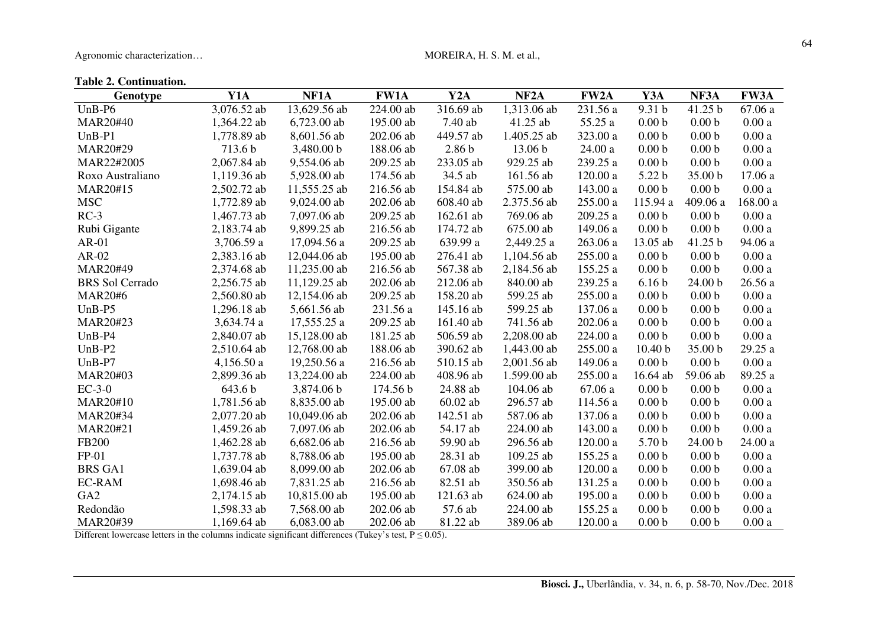Agronomic characterization... MOREIRA, H. S. M. et al.,

## **Table 2. Continuation.**

| Genotype               | Y1A         | NF1A         | <b>FW1A</b> | Y2A               | NF <sub>2</sub> A | FW <sub>2</sub> A | Y3A                | NF3A              | <b>FW3A</b> |
|------------------------|-------------|--------------|-------------|-------------------|-------------------|-------------------|--------------------|-------------------|-------------|
| $UnB-P6$               | 3,076.52 ab | 13,629.56 ab | 224.00 ab   | 316.69 ab         | 1,313.06 ab       | 231.56 a          | 9.31 <sub>b</sub>  | 41.25 b           | 67.06 a     |
| <b>MAR20#40</b>        | 1,364.22 ab | 6,723.00 ab  | 195.00 ab   | 7.40 ab           | 41.25 ab          | 55.25 a           | 0.00 <sub>b</sub>  | 0.00 <sub>b</sub> | 0.00a       |
| $UnB-PI$               | 1,778.89 ab | 8,601.56 ab  | 202.06 ab   | 449.57 ab         | 1.405.25 ab       | 323.00 a          | 0.00 <sub>b</sub>  | 0.00 <sub>b</sub> | 0.00a       |
| MAR20#29               | 713.6 b     | 3,480.00 b   | 188.06 ab   | 2.86 <sub>b</sub> | 13.06 b           | 24.00a            | 0.00 <sub>b</sub>  | 0.00 <sub>b</sub> | 0.00a       |
| MAR22#2005             | 2,067.84 ab | 9,554.06 ab  | 209.25 ab   | 233.05 ab         | 929.25 ab         | 239.25 a          | 0.00 <sub>b</sub>  | 0.00 <sub>b</sub> | 0.00a       |
| Roxo Australiano       | 1,119.36 ab | 5,928.00 ab  | 174.56 ab   | 34.5 ab           | 161.56 ab         | $120.00\ \rm{a}$  | 5.22 b             | 35.00 b           | 17.06 a     |
| MAR20#15               | 2,502.72 ab | 11,555.25 ab | 216.56 ab   | 154.84 ab         | 575.00 ab         | 143.00 a          | 0.00 <sub>b</sub>  | 0.00 <sub>b</sub> | 0.00a       |
| <b>MSC</b>             | 1,772.89 ab | 9,024.00 ab  | 202.06 ab   | 608.40 ab         | 2.375.56 ab       | $255.00\ a$       | 115.94 a           | 409.06 a          | 168.00 a    |
| $RC-3$                 | 1,467.73 ab | 7,097.06 ab  | 209.25 ab   | 162.61 ab         | 769.06 ab         | 209.25 a          | 0.00 <sub>b</sub>  | 0.00 <sub>b</sub> | 0.00a       |
| Rubi Gigante           | 2,183.74 ab | 9,899.25 ab  | 216.56 ab   | 174.72 ab         | 675.00 ab         | 149.06 a          | 0.00 <sub>b</sub>  | 0.00 <sub>b</sub> | 0.00a       |
| $AR-01$                | 3,706.59 a  | 17,094.56 a  | 209.25 ab   | 639.99 a          | 2,449.25 a        | 263.06 a          | 13.05 ab           | 41.25 b           | 94.06 a     |
| $AR-02$                | 2,383.16 ab | 12,044.06 ab | 195.00 ab   | 276.41 ab         | 1,104.56 ab       | 255.00 a          | 0.00 <sub>b</sub>  | 0.00 <sub>b</sub> | 0.00a       |
| MAR20#49               | 2,374.68 ab | 11,235.00 ab | 216.56 ab   | 567.38 ab         | 2,184.56 ab       | 155.25 a          | 0.00 <sub>b</sub>  | 0.00 <sub>b</sub> | 0.00a       |
| <b>BRS</b> Sol Cerrado | 2,256.75 ab | 11,129.25 ab | 202.06 ab   | 212.06 ab         | 840.00 ab         | 239.25 a          | 6.16 <sub>b</sub>  | 24.00 b           | 26.56 a     |
| <b>MAR20#6</b>         | 2,560.80 ab | 12,154.06 ab | 209.25 ab   | 158.20 ab         | 599.25 ab         | 255.00 a          | 0.00 <sub>b</sub>  | 0.00 <sub>b</sub> | 0.00a       |
| $UnB-P5$               | 1,296.18 ab | 5,661.56 ab  | 231.56 a    | 145.16 ab         | 599.25 ab         | 137.06 a          | 0.00 <sub>b</sub>  | 0.00 <sub>b</sub> | 0.00a       |
| MAR20#23               | 3,634.74 a  | 17,555.25 a  | 209.25 ab   | 161.40 ab         | 741.56 ab         | 202.06 a          | 0.00 <sub>b</sub>  | 0.00 <sub>b</sub> | 0.00a       |
| $UnB-P4$               | 2,840.07 ab | 15,128.00 ab | 181.25 ab   | 506.59 ab         | 2,208.00 ab       | 224.00 a          | 0.00 <sub>b</sub>  | 0.00 <sub>b</sub> | 0.00a       |
| $UnB-P2$               | 2,510.64 ab | 12,768.00 ab | 188.06 ab   | 390.62 ab         | 1,443.00 ab       | 255.00 a          | 10.40 <sub>b</sub> | 35.00 b           | 29.25 a     |
| $UnB- P7$              | 4,156.50a   | 19,250.56 a  | 216.56 ab   | 510.15 ab         | 2,001.56 ab       | 149.06 a          | 0.00 <sub>b</sub>  | 0.00 <sub>b</sub> | 0.00a       |
| MAR20#03               | 2,899.36 ab | 13,224.00 ab | 224.00 ab   | 408.96 ab         | 1.599.00 ab       | 255.00 a          | 16.64 ab           | 59.06 ab          | 89.25 a     |
| $EC-3-0$               | 643.6 b     | 3,874.06 b   | 174.56 b    | 24.88 ab          | 104.06 ab         | 67.06 a           | 0.00 <sub>b</sub>  | 0.00 <sub>b</sub> | 0.00a       |
| MAR20#10               | 1,781.56 ab | 8,835.00 ab  | 195.00 ab   | 60.02 ab          | 296.57 ab         | 114.56 a          | 0.00 <sub>b</sub>  | 0.00 <sub>b</sub> | 0.00a       |
| MAR20#34               | 2,077.20 ab | 10,049.06 ab | 202.06 ab   | 142.51 ab         | 587.06 ab         | 137.06 a          | 0.00 <sub>b</sub>  | 0.00 <sub>b</sub> | 0.00a       |
| MAR20#21               | 1,459.26 ab | 7,097.06 ab  | 202.06 ab   | 54.17 ab          | 224.00 ab         | 143.00 a          | 0.00 <sub>b</sub>  | 0.00 <sub>b</sub> | 0.00a       |
| <b>FB200</b>           | 1,462.28 ab | 6,682.06 ab  | 216.56 ab   | 59.90 ab          | 296.56 ab         | 120.00 a          | 5.70 <sub>b</sub>  | 24.00 b           | 24.00 a     |
| $FP-01$                | 1,737.78 ab | 8,788.06 ab  | 195.00 ab   | 28.31 ab          | 109.25 ab         | 155.25 a          | 0.00 <sub>b</sub>  | 0.00 <sub>b</sub> | 0.00a       |
| <b>BRS GA1</b>         | 1,639.04 ab | 8,099.00 ab  | 202.06 ab   | 67.08 ab          | 399.00 ab         | 120.00 a          | 0.00 <sub>b</sub>  | 0.00 <sub>b</sub> | 0.00a       |
| <b>EC-RAM</b>          | 1,698.46 ab | 7,831.25 ab  | 216.56 ab   | 82.51 ab          | 350.56 ab         | 131.25 a          | 0.00 <sub>b</sub>  | 0.00 <sub>b</sub> | 0.00a       |
| GA <sub>2</sub>        | 2,174.15 ab | 10,815.00 ab | 195.00 ab   | 121.63 ab         | 624.00 ab         | 195.00 a          | 0.00 <sub>b</sub>  | 0.00 <sub>b</sub> | 0.00a       |
| Redondão               | 1,598.33 ab | 7,568.00 ab  | 202.06 ab   | 57.6 ab           | 224.00 ab         | 155.25 a          | 0.00 <sub>b</sub>  | 0.00 <sub>b</sub> | 0.00a       |
| MAR20#39               | 1,169.64 ab | 6,083.00 ab  | 202.06 ab   | 81.22 ab          | 389.06 ab         | 120.00 a          | 0.00 <sub>b</sub>  | 0.00 <sub>b</sub> | 0.00a       |

Different lowercase letters in the columns indicate significant differences (Tukey's test,  $P \le 0.05$ ).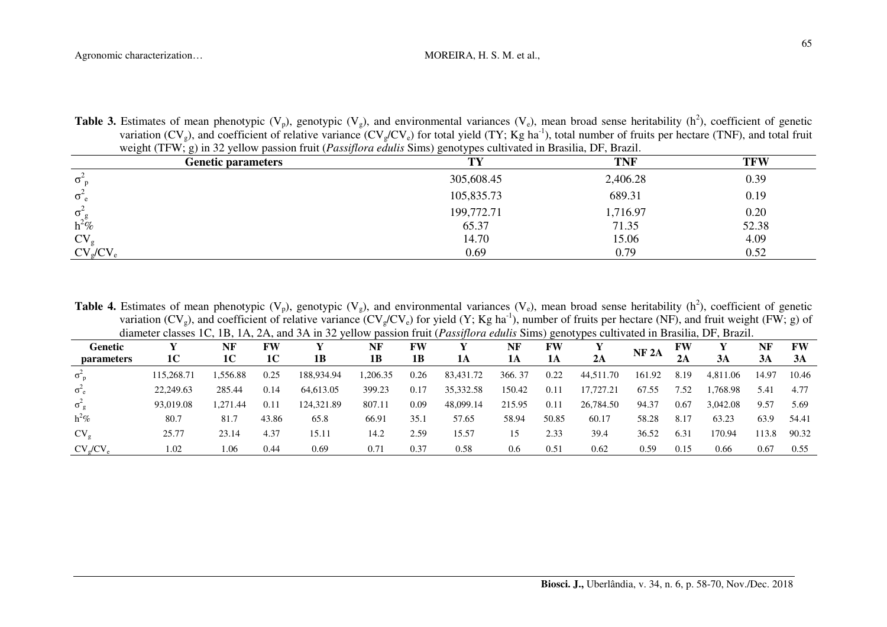| <b>Table 3.</b> Estimates of mean phenotypic ( $V_p$ ), genotypic ( $V_g$ ), and environmental variances ( $V_e$ ), mean broad sense heritability (h <sup>2</sup> ), coefficient of genetic |  |
|---------------------------------------------------------------------------------------------------------------------------------------------------------------------------------------------|--|
| variation ( $CV_g$ ), and coefficient of relative variance ( $CV_g/CV_g$ ) for total yield (TY; Kg ha <sup>-1</sup> ), total number of fruits per hectare (TNF), and total fruit            |  |
| weight (TFW; g) in 32 yellow passion fruit ( <i>Passiflora edulis</i> Sims) genotypes cultivated in Brasilia, DF, Brazil.                                                                   |  |

| ، ب<br><b>Genetic parameters</b> | $\sim$ $\sim$<br>$\sim$ 1<br>TV. | <b>TNF</b> | <b>TFW</b> |
|----------------------------------|----------------------------------|------------|------------|
| $\sigma_{\rm n}$                 | 305,608.45                       | 2,406.28   | 0.39       |
| $\sigma_{\rm e}$                 | 105,835.73                       | 689.31     | 0.19       |
| $\sigma$ $\sim$                  | 199,772.71                       | 1,716.97   | 0.20       |
| $h^2\%$                          | 65.37                            | 71.35      | 52.38      |
| CV <sub>o</sub>                  | 14.70                            | 15.06      | 4.09       |
| CV <sub>o</sub> /CV              | 0.69                             | 0.79       | 0.52       |

**Table 4.** Estimates of mean phenotypic (V<sub>p</sub>), genotypic (V<sub>g</sub>), and environmental variances (V<sub>e</sub>), mean broad sense heritability (h<sup>2</sup>), coefficient of genetic variation (CV<sub>g</sub>), and coefficient of relative variance (CV<sub>g</sub>/CV<sub>e</sub>) for yield (Y; Kg ha<sup>-1</sup>), number of fruits per hectare (NF), and fruit weight (FW; g) of diameter classes 1C, 1B, 1A, 2A, and 3A in 32 yellow passion fruit (*Passiflora edulis* Sims) genotypes cultivated in Brasilia, DF, Brazil.

| Genetic                   |            | NF       | FW    |            | NF      | FW   |           | NF     | $\overline{\phantom{a}}$<br>FW | . J 1     | NF <sub>2A</sub> | FW   |          | NF    | FW    |
|---------------------------|------------|----------|-------|------------|---------|------|-----------|--------|--------------------------------|-----------|------------------|------|----------|-------|-------|
| <i>parameters</i>         | 1C         | 1C       | 1C    | 1B         | 1B      | 1B   | 1A        | 1А     | 1A                             | 2A        |                  | 2A   | 3A       | 3A    | 3A    |
| $\sigma_{\rm n}$          | 115,268.71 | .556.88  | 0.25  | 188,934.94 | ,206.35 | 0.26 | 83,431.72 | 366.37 | 0.22                           | 44,511.70 | 161.92           | 8.19 | 4,811.06 | 14.97 | 10.46 |
| $\sigma_e^2$              | 22,249.63  | 285.44   | 0.14  | 64,613.05  | 399.23  | 0.17 | 35,332.58 | 150.42 | 0.11                           | 17,727.21 | 67.55            | 7.52 | .768.98  | 5.4   | 4.77  |
| $\sigma^2_{\ \rho}$       | 93,019.08  | 1,271.44 | 0.11  | 124,321.89 | 807.11  | 0.09 | 48,099.14 | 215.95 | 0.11                           | 26,784.50 | 94.37            | 0.67 | 3,042.08 | 9.57  | 5.69  |
| $h^2\%$                   | 80.7       | 81.7     | 43.86 | 65.8       | 66.91   | 35.  | 57.65     | 58.94  | 50.85                          | 60.17     | 58.28            | 8.17 | 63.23    | 63.9  | 54.41 |
| $CV_{\sigma}$             | 25.77      | 23.14    | 4.37  | 15.11      | 14.2    | 2.59 | 15.57     | 15     | 2.33                           | 39.4      | 36.52            | 6.31 | 170.94   | 113.8 | 90.32 |
| $CV_{\alpha}/CV_{\alpha}$ | .02        | .06      | 0.44  | 0.69       | 0.7     | 0.37 | 0.58      | 0.6    | 0.51                           | 0.62      | 0.59             | 0.15 | 0.66     | 0.67  | 0.55  |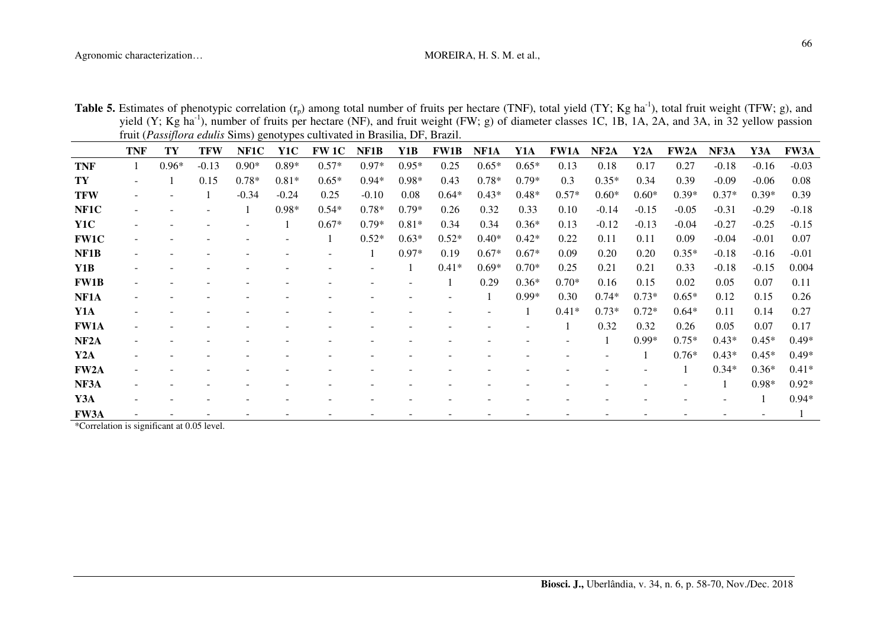| <b>Table 5.</b> Estimates of phenotypic correlation $(r_p)$ among total number of fruits per hectare (TNF), total yield (TY; Kg ha <sup>-1</sup> ), total fruit weight (TFW; g), and |  |
|--------------------------------------------------------------------------------------------------------------------------------------------------------------------------------------|--|
| yield (Y; Kg ha <sup>-1</sup> ), number of fruits per hectare (NF), and fruit weight (FW; g) of diameter classes 1C, 1B, 1A, 2A, and 3A, in 32 yellow passion                        |  |
| fruit ( <i>Passiflora edulis</i> Sims) genotypes cultivated in Brasilia, DF, Brazil.                                                                                                 |  |

|                   | <b>TNF</b> | TY      | TFW     | NF1C    | Y1C     | <b>FW 1C</b> | NF1B    | Y1B     | <b>FW1B</b> | NF1A    | Y1A     | <b>FW1A</b> | NF <sub>2</sub> A | Y2A     | <b>FW2A</b> | NF3A    | Y3A     | <b>FW3A</b> |
|-------------------|------------|---------|---------|---------|---------|--------------|---------|---------|-------------|---------|---------|-------------|-------------------|---------|-------------|---------|---------|-------------|
| <b>TNF</b>        |            | $0.96*$ | $-0.13$ | $0.90*$ | $0.89*$ | $0.57*$      | $0.97*$ | $0.95*$ | 0.25        | $0.65*$ | $0.65*$ | 0.13        | 0.18              | 0.17    | 0.27        | $-0.18$ | $-0.16$ | $-0.03$     |
| TY                |            |         | 0.15    | $0.78*$ | $0.81*$ | $0.65*$      | $0.94*$ | $0.98*$ | 0.43        | $0.78*$ | $0.79*$ | 0.3         | $0.35*$           | 0.34    | 0.39        | $-0.09$ | $-0.06$ | 0.08        |
| <b>TFW</b>        |            |         |         | $-0.34$ | $-0.24$ | 0.25         | $-0.10$ | 0.08    | $0.64*$     | $0.43*$ | $0.48*$ | $0.57*$     | $0.60*$           | $0.60*$ | $0.39*$     | $0.37*$ | $0.39*$ | 0.39        |
| NF1C              |            |         |         |         | $0.98*$ | $0.54*$      | $0.78*$ | $0.79*$ | 0.26        | 0.32    | 0.33    | 0.10        | $-0.14$           | $-0.15$ | $-0.05$     | $-0.31$ | $-0.29$ | $-0.18$     |
| Y1C               |            |         |         |         |         | $0.67*$      | $0.79*$ | $0.81*$ | 0.34        | 0.34    | $0.36*$ | 0.13        | $-0.12$           | $-0.13$ | $-0.04$     | $-0.27$ | $-0.25$ | $-0.15$     |
| <b>FW1C</b>       |            |         |         |         |         |              | $0.52*$ | $0.63*$ | $0.52*$     | $0.40*$ | $0.42*$ | 0.22        | 0.11              | 0.11    | 0.09        | $-0.04$ | $-0.01$ | 0.07        |
| NF1B              |            |         |         |         |         |              |         | $0.97*$ | 0.19        | $0.67*$ | $0.67*$ | 0.09        | 0.20              | 0.20    | $0.35*$     | $-0.18$ | $-0.16$ | $-0.01$     |
| Y1B               |            |         |         |         |         |              |         |         | $0.41*$     | $0.69*$ | $0.70*$ | 0.25        | 0.21              | 0.21    | 0.33        | $-0.18$ | $-0.15$ | 0.004       |
| <b>FW1B</b>       |            |         |         |         |         |              |         |         |             | 0.29    | $0.36*$ | $0.70*$     | 0.16              | 0.15    | 0.02        | 0.05    | 0.07    | 0.11        |
| NF1A              |            |         |         |         |         |              |         |         |             |         | $0.99*$ | 0.30        | $0.74*$           | $0.73*$ | $0.65*$     | 0.12    | 0.15    | 0.26        |
| Y1A               |            |         |         |         |         |              |         |         |             |         |         | $0.41*$     | $0.73*$           | $0.72*$ | $0.64*$     | 0.11    | 0.14    | 0.27        |
| <b>FW1A</b>       |            |         |         |         |         |              |         |         |             |         |         |             | 0.32              | 0.32    | 0.26        | 0.05    | 0.07    | 0.17        |
| NF <sub>2</sub> A |            |         |         |         |         |              |         |         |             |         |         |             |                   | $0.99*$ | $0.75*$     | $0.43*$ | $0.45*$ | $0.49*$     |
| Y <sub>2</sub> A  |            |         |         |         |         |              |         |         |             |         |         |             |                   |         | $0.76*$     | $0.43*$ | $0.45*$ | $0.49*$     |
| FW2A              |            |         |         |         |         |              |         |         |             |         |         |             |                   |         |             | $0.34*$ | $0.36*$ | $0.41*$     |
| NF3A              |            |         |         |         |         |              |         |         |             |         |         |             |                   |         |             |         | $0.98*$ | $0.92*$     |
| Y3A               |            |         |         |         |         |              |         |         |             |         |         |             |                   |         |             |         |         | $0.94*$     |
| <b>FW3A</b>       |            |         |         |         |         |              |         |         |             |         |         |             |                   |         |             |         |         |             |

\*Correlation is significant at 0.05 level.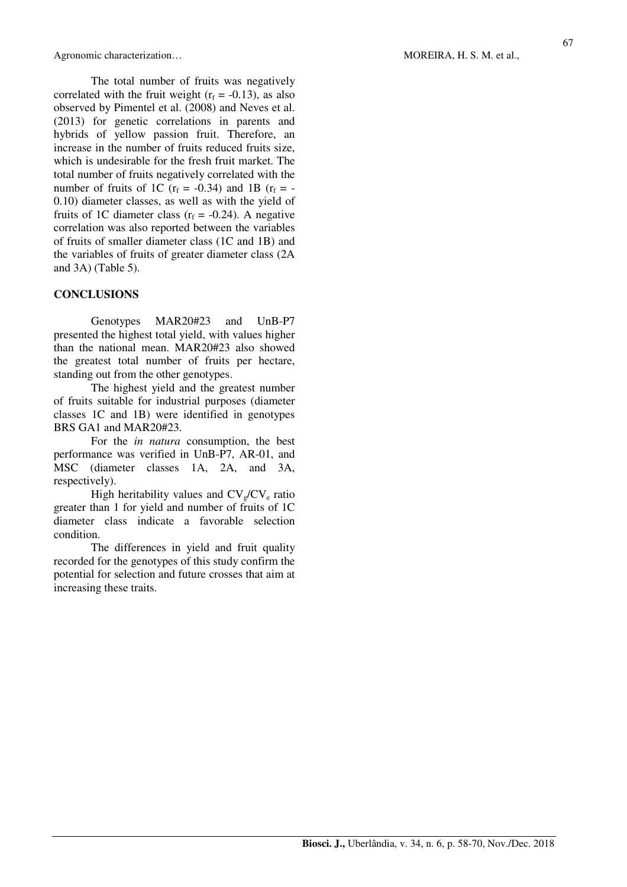The total number of fruits was negatively correlated with the fruit weight  $(r_f = -0.13)$ , as also observed by Pimentel et al. (2008) and Neves et al. (2013) for genetic correlations in parents and hybrids of yellow passion fruit. Therefore, an increase in the number of fruits reduced fruits size, which is undesirable for the fresh fruit market. The total number of fruits negatively correlated with the number of fruits of 1C ( $r_f = -0.34$ ) and 1B ( $r_f = -0.34$ ) 0.10) diameter classes, as well as with the yield of fruits of 1C diameter class  $(r_f = -0.24)$ . A negative correlation was also reported between the variables of fruits of smaller diameter class (1C and 1B) and the variables of fruits of greater diameter class (2A and 3A) (Table 5).

## **CONCLUSIONS**

Genotypes MAR20#23 and UnB-P7 presented the highest total yield, with values higher than the national mean. MAR20#23 also showed the greatest total number of fruits per hectare, standing out from the other genotypes.

The highest yield and the greatest number of fruits suitable for industrial purposes (diameter classes 1C and 1B) were identified in genotypes BRS GA1 and MAR20#23.

For the *in natura* consumption, the best performance was verified in UnB-P7, AR-01, and MSC (diameter classes 1A, 2A, and 3A, respectively).

High heritability values and  $CV_g/CV_e$  ratio greater than 1 for yield and number of fruits of 1C diameter class indicate a favorable selection condition.

The differences in yield and fruit quality recorded for the genotypes of this study confirm the potential for selection and future crosses that aim at increasing these traits.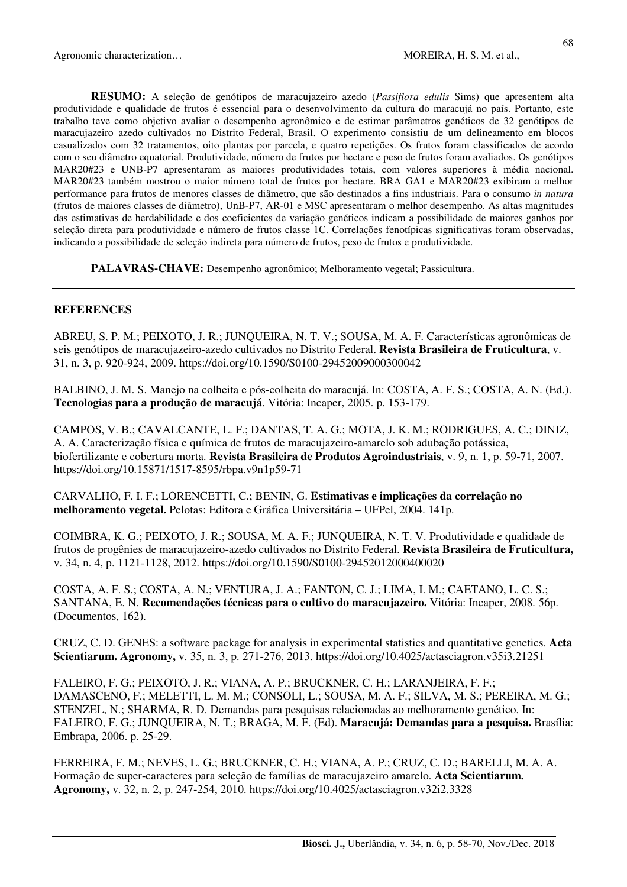**RESUMO:** A seleção de genótipos de maracujazeiro azedo (*Passiflora edulis* Sims) que apresentem alta produtividade e qualidade de frutos é essencial para o desenvolvimento da cultura do maracujá no país. Portanto, este trabalho teve como objetivo avaliar o desempenho agronômico e de estimar parâmetros genéticos de 32 genótipos de maracujazeiro azedo cultivados no Distrito Federal, Brasil. O experimento consistiu de um delineamento em blocos casualizados com 32 tratamentos, oito plantas por parcela, e quatro repetições. Os frutos foram classificados de acordo com o seu diâmetro equatorial. Produtividade, número de frutos por hectare e peso de frutos foram avaliados. Os genótipos MAR20#23 e UNB-P7 apresentaram as maiores produtividades totais, com valores superiores à média nacional. MAR20#23 também mostrou o maior número total de frutos por hectare. BRA GA1 e MAR20#23 exibiram a melhor performance para frutos de menores classes de diâmetro, que são destinados a fins industriais. Para o consumo *in natura*  (frutos de maiores classes de diâmetro), UnB-P7, AR-01 e MSC apresentaram o melhor desempenho. As altas magnitudes das estimativas de herdabilidade e dos coeficientes de variação genéticos indicam a possibilidade de maiores ganhos por seleção direta para produtividade e número de frutos classe 1C. Correlações fenotípicas significativas foram observadas, indicando a possibilidade de seleção indireta para número de frutos, peso de frutos e produtividade.

**PALAVRAS-CHAVE:** Desempenho agronômico; Melhoramento vegetal; Passicultura.

### **REFERENCES**

ABREU, S. P. M.; PEIXOTO, J. R.; JUNQUEIRA, N. T. V.; SOUSA, M. A. F. Características agronômicas de seis genótipos de maracujazeiro-azedo cultivados no Distrito Federal. **Revista Brasileira de Fruticultura**, v. 31, n. 3, p. 920-924, 2009. https://doi.org/10.1590/S0100-29452009000300042

BALBINO, J. M. S. Manejo na colheita e pós-colheita do maracujá. In: COSTA, A. F. S.; COSTA, A. N. (Ed.). **Tecnologias para a produção de maracujá**. Vitória: Incaper, 2005. p. 153-179.

CAMPOS, V. B.; CAVALCANTE, L. F.; DANTAS, T. A. G.; MOTA, J. K. M.; RODRIGUES, A. C.; DINIZ, A. A. Caracterização física e química de frutos de maracujazeiro-amarelo sob adubação potássica, biofertilizante e cobertura morta. **Revista Brasileira de Produtos Agroindustriais**, v. 9, n. 1, p. 59-71, 2007. https://doi.org/10.15871/1517-8595/rbpa.v9n1p59-71

CARVALHO, F. I. F.; LORENCETTI, C.; BENIN, G. **Estimativas e implicações da correlação no melhoramento vegetal.** Pelotas: Editora e Gráfica Universitária – UFPel, 2004. 141p.

COIMBRA, K. G.; PEIXOTO, J. R.; SOUSA, M. A. F.; JUNQUEIRA, N. T. V. Produtividade e qualidade de frutos de progênies de maracujazeiro-azedo cultivados no Distrito Federal. **Revista Brasileira de Fruticultura,** v. 34, n. 4, p. 1121-1128, 2012. https://doi.org/10.1590/S0100-29452012000400020

COSTA, A. F. S.; COSTA, A. N.; VENTURA, J. A.; FANTON, C. J.; LIMA, I. M.; CAETANO, L. C. S.; SANTANA, E. N. **Recomendações técnicas para o cultivo do maracujazeiro.** Vitória: Incaper, 2008. 56p. (Documentos, 162).

CRUZ, C. D. GENES: a software package for analysis in experimental statistics and quantitative genetics. **Acta Scientiarum. Agronomy,** v. 35, n. 3, p. 271-276, 2013. https://doi.org/10.4025/actasciagron.v35i3.21251

FALEIRO, F. G.; PEIXOTO, J. R.; VIANA, A. P.; BRUCKNER, C. H.; LARANJEIRA, F. F.; DAMASCENO, F.; MELETTI, L. M. M.; CONSOLI, L.; SOUSA, M. A. F.; SILVA, M. S.; PEREIRA, M. G.; STENZEL, N.; SHARMA, R. D. Demandas para pesquisas relacionadas ao melhoramento genético. In: FALEIRO, F. G.; JUNQUEIRA, N. T.; BRAGA, M. F. (Ed). **Maracujá: Demandas para a pesquisa.** Brasília: Embrapa, 2006. p. 25-29.

FERREIRA, F. M.; NEVES, L. G.; BRUCKNER, C. H.; VIANA, A. P.; CRUZ, C. D.; BARELLI, M. A. A. Formação de super-caracteres para seleção de famílias de maracujazeiro amarelo. **Acta Scientiarum. Agronomy,** v. 32, n. 2, p. 247-254, 2010. https://doi.org/10.4025/actasciagron.v32i2.3328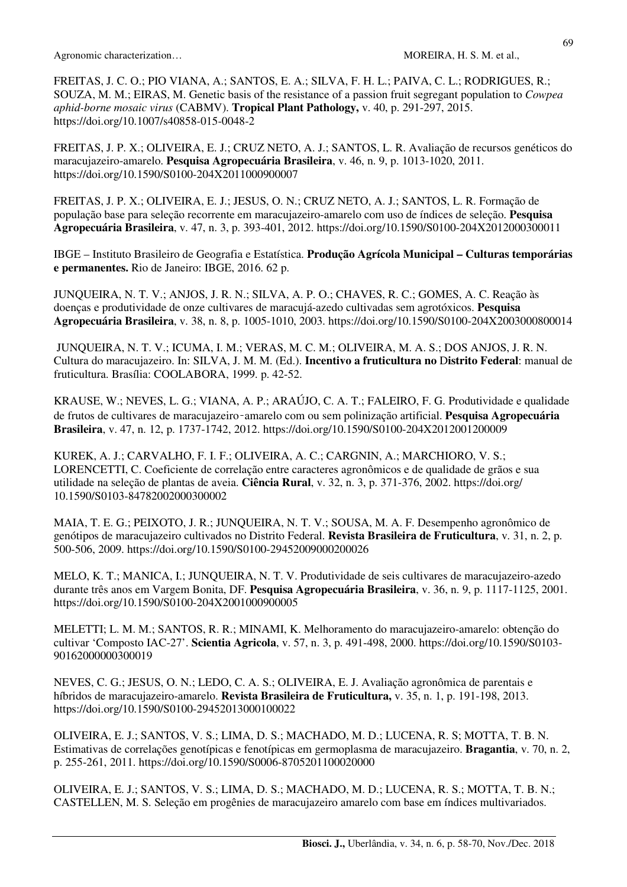FREITAS, J. C. O.; PIO VIANA, A.; SANTOS, E. A.; SILVA, F. H. L.; PAIVA, C. L.; RODRIGUES, R.; SOUZA, M. M.; EIRAS, M. Genetic basis of the resistance of a passion fruit segregant population to *Cowpea aphid-borne mosaic virus* (CABMV). **Tropical Plant Pathology,** v. 40, p. 291-297, 2015. https://doi.org/10.1007/s40858-015-0048-2

FREITAS, J. P. X.; OLIVEIRA, E. J.; CRUZ NETO, A. J.; SANTOS, L. R. Avaliação de recursos genéticos do maracujazeiro-amarelo. **Pesquisa Agropecuária Brasileira**, v. 46, n. 9, p. 1013-1020, 2011. https://doi.org/10.1590/S0100-204X2011000900007

FREITAS, J. P. X.; OLIVEIRA, E. J.; JESUS, O. N.; CRUZ NETO, A. J.; SANTOS, L. R. Formação de população base para seleção recorrente em maracujazeiro-amarelo com uso de índices de seleção. **Pesquisa Agropecuária Brasileira**, v. 47, n. 3, p. 393-401, 2012. https://doi.org/10.1590/S0100-204X2012000300011

IBGE – Instituto Brasileiro de Geografia e Estatística. **Produção Agrícola Municipal – Culturas temporárias e permanentes.** Rio de Janeiro: IBGE, 2016. 62 p.

JUNQUEIRA, N. T. V.; ANJOS, J. R. N.; SILVA, A. P. O.; CHAVES, R. C.; GOMES, A. C. Reação às doenças e produtividade de onze cultivares de maracujá-azedo cultivadas sem agrotóxicos. **Pesquisa Agropecuária Brasileira**, v. 38, n. 8, p. 1005-1010, 2003. https://doi.org/10.1590/S0100-204X2003000800014

 JUNQUEIRA, N. T. V.; ICUMA, I. M.; VERAS, M. C. M.; OLIVEIRA, M. A. S.; DOS ANJOS, J. R. N. Cultura do maracujazeiro. In: SILVA, J. M. M. (Ed.). **Incentivo a fruticultura no** D**istrito Federal**: manual de fruticultura. Brasília: COOLABORA, 1999. p. 42-52.

KRAUSE, W.; NEVES, L. G.; VIANA, A. P.; ARAÚJO, C. A. T.; FALEIRO, F. G. Produtividade e qualidade de frutos de cultivares de maracujazeiro‑amarelo com ou sem polinização artificial. **Pesquisa Agropecuária Brasileira**, v. 47, n. 12, p. 1737-1742, 2012. https://doi.org/10.1590/S0100-204X2012001200009

KUREK, A. J.; CARVALHO, F. I. F.; OLIVEIRA, A. C.; CARGNIN, A.; MARCHIORO, V. S.; LORENCETTI, C. Coeficiente de correlação entre caracteres agronômicos e de qualidade de grãos e sua utilidade na seleção de plantas de aveia. **Ciência Rural**, v. 32, n. 3, p. 371-376, 2002. https://doi.org/ 10.1590/S0103-84782002000300002

MAIA, T. E. G.; PEIXOTO, J. R.; JUNQUEIRA, N. T. V.; SOUSA, M. A. F. Desempenho agronômico de genótipos de maracujazeiro cultivados no Distrito Federal. **Revista Brasileira de Fruticultura**, v. 31, n. 2, p. 500-506, 2009. https://doi.org/10.1590/S0100-29452009000200026

MELO, K. T.; MANICA, I.; JUNQUEIRA, N. T. V. Produtividade de seis cultivares de maracujazeiro-azedo durante três anos em Vargem Bonita, DF. **Pesquisa Agropecuária Brasileira**, v. 36, n. 9, p. 1117-1125, 2001. https://doi.org/10.1590/S0100-204X2001000900005

MELETTI; L. M. M.; SANTOS, R. R.; MINAMI, K. Melhoramento do maracujazeiro-amarelo: obtenção do cultivar 'Composto IAC-27'. **Scientia Agricola**, v. 57, n. 3, p. 491-498, 2000. https://doi.org/10.1590/S0103- 90162000000300019

NEVES, C. G.; JESUS, O. N.; LEDO, C. A. S.; OLIVEIRA, E. J. Avaliação agronômica de parentais e híbridos de maracujazeiro-amarelo. **Revista Brasileira de Fruticultura,** v. 35, n. 1, p. 191-198, 2013. https://doi.org/10.1590/S0100-29452013000100022

OLIVEIRA, E. J.; SANTOS, V. S.; LIMA, D. S.; MACHADO, M. D.; LUCENA, R. S; MOTTA, T. B. N. Estimativas de correlações genotípicas e fenotípicas em germoplasma de maracujazeiro. **Bragantia**, v. 70, n. 2, p. 255-261, 2011. https://doi.org/10.1590/S0006-8705201100020000

OLIVEIRA, E. J.; SANTOS, V. S.; LIMA, D. S.; MACHADO, M. D.; LUCENA, R. S.; MOTTA, T. B. N.; CASTELLEN, M. S. Seleção em progênies de maracujazeiro amarelo com base em índices multivariados.